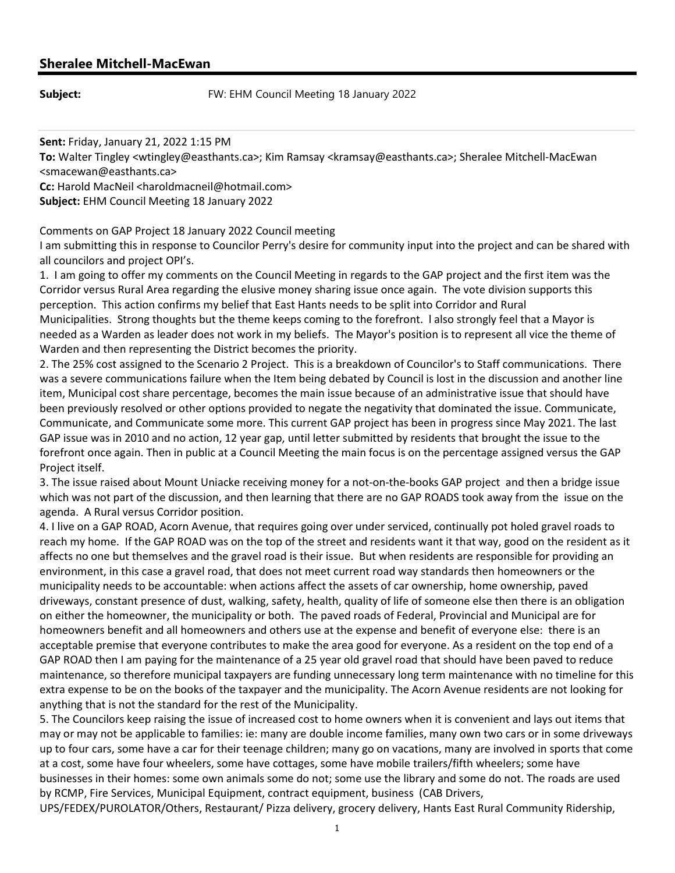**Subject: EXALL SUBSET SUBJECT:** FW: EHM Council Meeting 18 January 2022

Sent: Friday, January 21, 2022 1:15 PM

To: Walter Tingley <wtingley@easthants.ca>; Kim Ramsay <kramsay@easthants.ca>; Sheralee Mitchell-MacEwan <smacewan@easthants.ca>

Cc: Harold MacNeil <haroldmacneil@hotmail.com>

Subject: EHM Council Meeting 18 January 2022

Comments on GAP Project 18 January 2022 Council meeting

I am submitting this in response to Councilor Perry's desire for community input into the project and can be shared with all councilors and project OPI's.

1. I am going to offer my comments on the Council Meeting in regards to the GAP project and the first item was the Corridor versus Rural Area regarding the elusive money sharing issue once again. The vote division supports this perception. This action confirms my belief that East Hants needs to be split into Corridor and Rural Municipalities. Strong thoughts but the theme keeps coming to the forefront. l also strongly feel that a Mayor is needed as a Warden as leader does not work in my beliefs. The Mayor's position is to represent all vice the theme of Warden and then representing the District becomes the priority.

2. The 25% cost assigned to the Scenario 2 Project. This is a breakdown of Councilor's to Staff communications. There was a severe communications failure when the Item being debated by Council is lost in the discussion and another line item, Municipal cost share percentage, becomes the main issue because of an administrative issue that should have been previously resolved or other options provided to negate the negativity that dominated the issue. Communicate, Communicate, and Communicate some more. This current GAP project has been in progress since May 2021. The last GAP issue was in 2010 and no action, 12 year gap, until letter submitted by residents that brought the issue to the forefront once again. Then in public at a Council Meeting the main focus is on the percentage assigned versus the GAP Project itself.

3. The issue raised about Mount Uniacke receiving money for a not-on-the-books GAP project and then a bridge issue which was not part of the discussion, and then learning that there are no GAP ROADS took away from the issue on the agenda. A Rural versus Corridor position.

4. I live on a GAP ROAD, Acorn Avenue, that requires going over under serviced, continually pot holed gravel roads to reach my home. If the GAP ROAD was on the top of the street and residents want it that way, good on the resident as it affects no one but themselves and the gravel road is their issue. But when residents are responsible for providing an environment, in this case a gravel road, that does not meet current road way standards then homeowners or the municipality needs to be accountable: when actions affect the assets of car ownership, home ownership, paved driveways, constant presence of dust, walking, safety, health, quality of life of someone else then there is an obligation on either the homeowner, the municipality or both. The paved roads of Federal, Provincial and Municipal are for homeowners benefit and all homeowners and others use at the expense and benefit of everyone else: there is an acceptable premise that everyone contributes to make the area good for everyone. As a resident on the top end of a GAP ROAD then I am paying for the maintenance of a 25 year old gravel road that should have been paved to reduce maintenance, so therefore municipal taxpayers are funding unnecessary long term maintenance with no timeline for this extra expense to be on the books of the taxpayer and the municipality. The Acorn Avenue residents are not looking for anything that is not the standard for the rest of the Municipality.

5. The Councilors keep raising the issue of increased cost to home owners when it is convenient and lays out items that may or may not be applicable to families: ie: many are double income families, many own two cars or in some driveways up to four cars, some have a car for their teenage children; many go on vacations, many are involved in sports that come at a cost, some have four wheelers, some have cottages, some have mobile trailers/fifth wheelers; some have businesses in their homes: some own animals some do not; some use the library and some do not. The roads are used by RCMP, Fire Services, Municipal Equipment, contract equipment, business (CAB Drivers,

UPS/FEDEX/PUROLATOR/Others, Restaurant/ Pizza delivery, grocery delivery, Hants East Rural Community Ridership,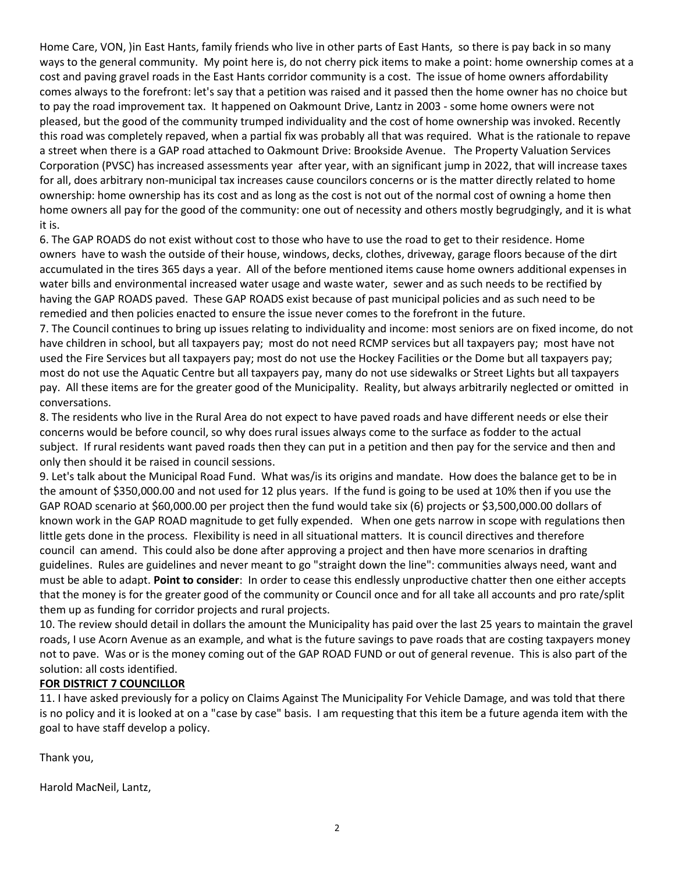Home Care, VON, )in East Hants, family friends who live in other parts of East Hants, so there is pay back in so many ways to the general community. My point here is, do not cherry pick items to make a point: home ownership comes at a cost and paving gravel roads in the East Hants corridor community is a cost. The issue of home owners affordability comes always to the forefront: let's say that a petition was raised and it passed then the home owner has no choice but to pay the road improvement tax. It happened on Oakmount Drive, Lantz in 2003 - some home owners were not pleased, but the good of the community trumped individuality and the cost of home ownership was invoked. Recently this road was completely repaved, when a partial fix was probably all that was required. What is the rationale to repave a street when there is a GAP road attached to Oakmount Drive: Brookside Avenue. The Property Valuation Services Corporation (PVSC) has increased assessments year after year, with an significant jump in 2022, that will increase taxes for all, does arbitrary non-municipal tax increases cause councilors concerns or is the matter directly related to home ownership: home ownership has its cost and as long as the cost is not out of the normal cost of owning a home then home owners all pay for the good of the community: one out of necessity and others mostly begrudgingly, and it is what it is.

6. The GAP ROADS do not exist without cost to those who have to use the road to get to their residence. Home owners have to wash the outside of their house, windows, decks, clothes, driveway, garage floors because of the dirt accumulated in the tires 365 days a year. All of the before mentioned items cause home owners additional expenses in water bills and environmental increased water usage and waste water, sewer and as such needs to be rectified by having the GAP ROADS paved. These GAP ROADS exist because of past municipal policies and as such need to be remedied and then policies enacted to ensure the issue never comes to the forefront in the future.

7. The Council continues to bring up issues relating to individuality and income: most seniors are on fixed income, do not have children in school, but all taxpayers pay; most do not need RCMP services but all taxpayers pay; most have not used the Fire Services but all taxpayers pay; most do not use the Hockey Facilities or the Dome but all taxpayers pay; most do not use the Aquatic Centre but all taxpayers pay, many do not use sidewalks or Street Lights but all taxpayers pay. All these items are for the greater good of the Municipality. Reality, but always arbitrarily neglected or omitted in conversations.

8. The residents who live in the Rural Area do not expect to have paved roads and have different needs or else their concerns would be before council, so why does rural issues always come to the surface as fodder to the actual subject. If rural residents want paved roads then they can put in a petition and then pay for the service and then and only then should it be raised in council sessions.

9. Let's talk about the Municipal Road Fund. What was/is its origins and mandate. How does the balance get to be in the amount of \$350,000.00 and not used for 12 plus years. If the fund is going to be used at 10% then if you use the GAP ROAD scenario at \$60,000.00 per project then the fund would take six (6) projects or \$3,500,000.00 dollars of known work in the GAP ROAD magnitude to get fully expended. When one gets narrow in scope with regulations then little gets done in the process. Flexibility is need in all situational matters. It is council directives and therefore council can amend. This could also be done after approving a project and then have more scenarios in drafting guidelines. Rules are guidelines and never meant to go "straight down the line": communities always need, want and must be able to adapt. Point to consider: In order to cease this endlessly unproductive chatter then one either accepts that the money is for the greater good of the community or Council once and for all take all accounts and pro rate/split them up as funding for corridor projects and rural projects.

10. The review should detail in dollars the amount the Municipality has paid over the last 25 years to maintain the gravel roads, I use Acorn Avenue as an example, and what is the future savings to pave roads that are costing taxpayers money not to pave. Was or is the money coming out of the GAP ROAD FUND or out of general revenue. This is also part of the solution: all costs identified.

## FOR DISTRICT 7 COUNCILLOR

11. I have asked previously for a policy on Claims Against The Municipality For Vehicle Damage, and was told that there is no policy and it is looked at on a "case by case" basis. I am requesting that this item be a future agenda item with the goal to have staff develop a policy.

Thank you,

Harold MacNeil, Lantz,